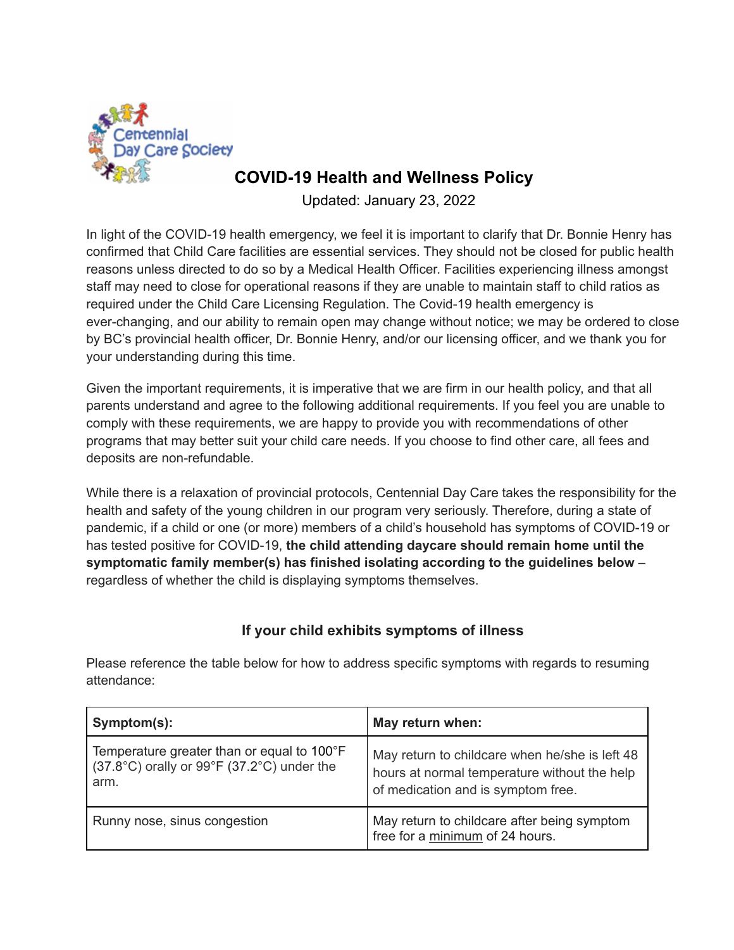

# **COVID-19 Health and Wellness Policy**

Updated: January 23, 2022

In light of the COVID-19 health emergency, we feel it is important to clarify that Dr. Bonnie Henry has confirmed that Child Care facilities are essential services. They should not be closed for public health reasons unless directed to do so by a Medical Health Officer. Facilities experiencing illness amongst staff may need to close for operational reasons if they are unable to maintain staff to child ratios as required under the Child Care Licensing Regulation. The Covid-19 health emergency is ever-changing, and our ability to remain open may change without notice; we may be ordered to close by BC's provincial health officer, Dr. Bonnie Henry, and/or our licensing officer, and we thank you for your understanding during this time.

Given the important requirements, it is imperative that we are firm in our health policy, and that all parents understand and agree to the following additional requirements. If you feel you are unable to comply with these requirements, we are happy to provide you with recommendations of other programs that may better suit your child care needs. If you choose to find other care, all fees and deposits are non-refundable.

While there is a relaxation of provincial protocols, Centennial Day Care takes the responsibility for the health and safety of the young children in our program very seriously. Therefore, during a state of pandemic, if a child or one (or more) members of a child's household has symptoms of COVID-19 or has tested positive for COVID-19, **the child attending daycare should remain home until the symptomatic family member(s) has finished isolating according to the guidelines below** – regardless of whether the child is displaying symptoms themselves.

## **If your child exhibits symptoms of illness**

Please reference the table below for how to address specific symptoms with regards to resuming attendance:

| Symptom(s):                                                                                               | May return when:                                                                                                                     |
|-----------------------------------------------------------------------------------------------------------|--------------------------------------------------------------------------------------------------------------------------------------|
| Temperature greater than or equal to 100°F<br>$(37.8^{\circ}C)$ orally or 99°F (37.2°C) under the<br>arm. | May return to childcare when he/she is left 48<br>hours at normal temperature without the help<br>of medication and is symptom free. |
| Runny nose, sinus congestion                                                                              | May return to childcare after being symptom<br>free for a minimum of 24 hours.                                                       |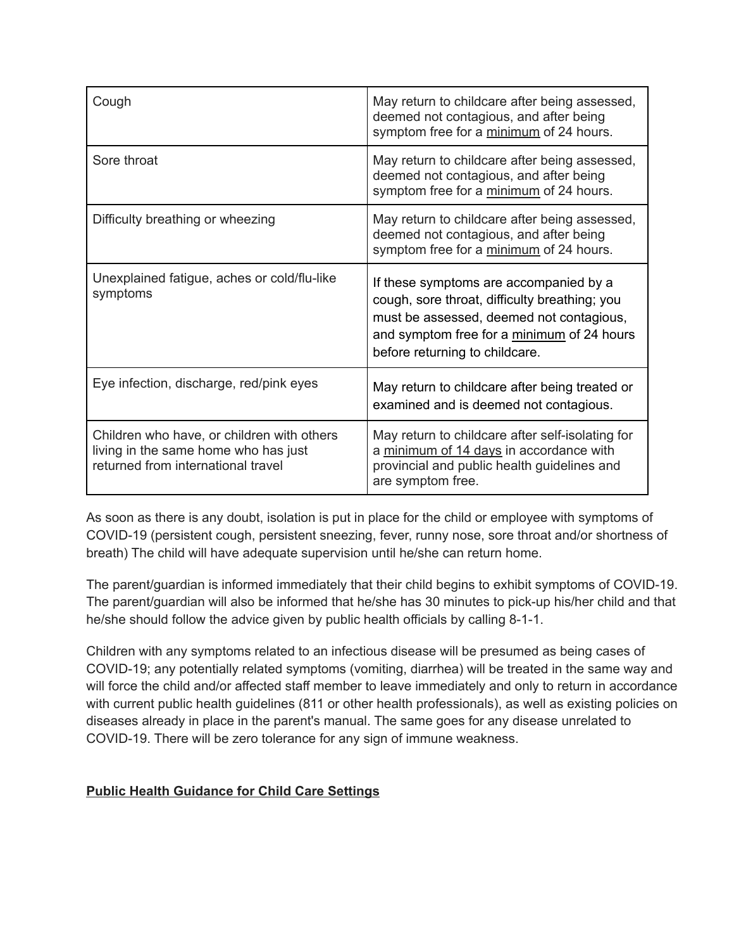| Cough                                                                                                                    | May return to childcare after being assessed,<br>deemed not contagious, and after being<br>symptom free for a minimum of 24 hours.                                                                                  |
|--------------------------------------------------------------------------------------------------------------------------|---------------------------------------------------------------------------------------------------------------------------------------------------------------------------------------------------------------------|
| Sore throat                                                                                                              | May return to childcare after being assessed,<br>deemed not contagious, and after being<br>symptom free for a minimum of 24 hours.                                                                                  |
| Difficulty breathing or wheezing                                                                                         | May return to childcare after being assessed,<br>deemed not contagious, and after being<br>symptom free for a minimum of 24 hours.                                                                                  |
| Unexplained fatigue, aches or cold/flu-like<br>symptoms                                                                  | If these symptoms are accompanied by a<br>cough, sore throat, difficulty breathing; you<br>must be assessed, deemed not contagious,<br>and symptom free for a minimum of 24 hours<br>before returning to childcare. |
| Eye infection, discharge, red/pink eyes                                                                                  | May return to childcare after being treated or<br>examined and is deemed not contagious.                                                                                                                            |
| Children who have, or children with others<br>living in the same home who has just<br>returned from international travel | May return to childcare after self-isolating for<br>a minimum of 14 days in accordance with<br>provincial and public health guidelines and<br>are symptom free.                                                     |

As soon as there is any doubt, isolation is put in place for the child or employee with symptoms of COVID-19 (persistent cough, persistent sneezing, fever, runny nose, sore throat and/or shortness of breath) The child will have adequate supervision until he/she can return home.

The parent/guardian is informed immediately that their child begins to exhibit symptoms of COVID-19. The parent/guardian will also be informed that he/she has 30 minutes to pick-up his/her child and that he/she should follow the advice given by public health officials by calling 8-1-1.

Children with any symptoms related to an infectious disease will be presumed as being cases of COVID-19; any potentially related symptoms (vomiting, diarrhea) will be treated in the same way and will force the child and/or affected staff member to leave immediately and only to return in accordance with current public health guidelines (811 or other health professionals), as well as existing policies on diseases already in place in the parent's manual. The same goes for any disease unrelated to COVID-19. There will be zero tolerance for any sign of immune weakness.

#### **Public Health [Guidance](http://www.bccdc.ca/Health-Info-Site/Documents/COVID_public_guidance/Guidance_Child_Care.pdf) for Child Care Settings**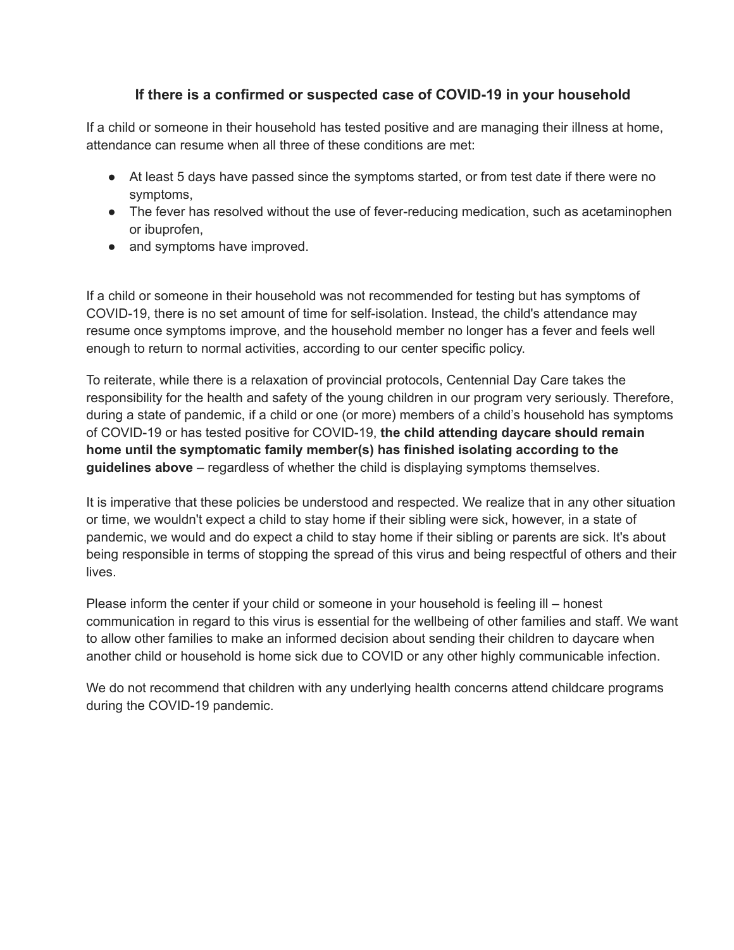## **If there is a confirmed or suspected case of COVID-19 in your household**

If a child or someone in their household has tested positive and are managing their illness at home, attendance can resume when all three of these conditions are met:

- At least 5 days have passed since the symptoms started, or from test date if there were no symptoms,
- The fever has resolved without the use of fever-reducing medication, such as acetaminophen or ibuprofen,
- and symptoms have improved.

If a child or someone in their household was not recommended for testing but has symptoms of COVID-19, there is no set amount of time for self-isolation. Instead, the child's attendance may resume once symptoms improve, and the household member no longer has a fever and feels well enough to return to normal activities, according to our center specific policy.

To reiterate, while there is a relaxation of provincial protocols, Centennial Day Care takes the responsibility for the health and safety of the young children in our program very seriously. Therefore, during a state of pandemic, if a child or one (or more) members of a child's household has symptoms of COVID-19 or has tested positive for COVID-19, **the child attending daycare should remain home until the symptomatic family member(s) has finished isolating according to the guidelines above** – regardless of whether the child is displaying symptoms themselves.

It is imperative that these policies be understood and respected. We realize that in any other situation or time, we wouldn't expect a child to stay home if their sibling were sick, however, in a state of pandemic, we would and do expect a child to stay home if their sibling or parents are sick. It's about being responsible in terms of stopping the spread of this virus and being respectful of others and their lives.

Please inform the center if your child or someone in your household is feeling ill – honest communication in regard to this virus is essential for the wellbeing of other families and staff. We want to allow other families to make an informed decision about sending their children to daycare when another child or household is home sick due to COVID or any other highly communicable infection.

We do not recommend that children with any underlying health concerns attend childcare programs during the COVID-19 pandemic.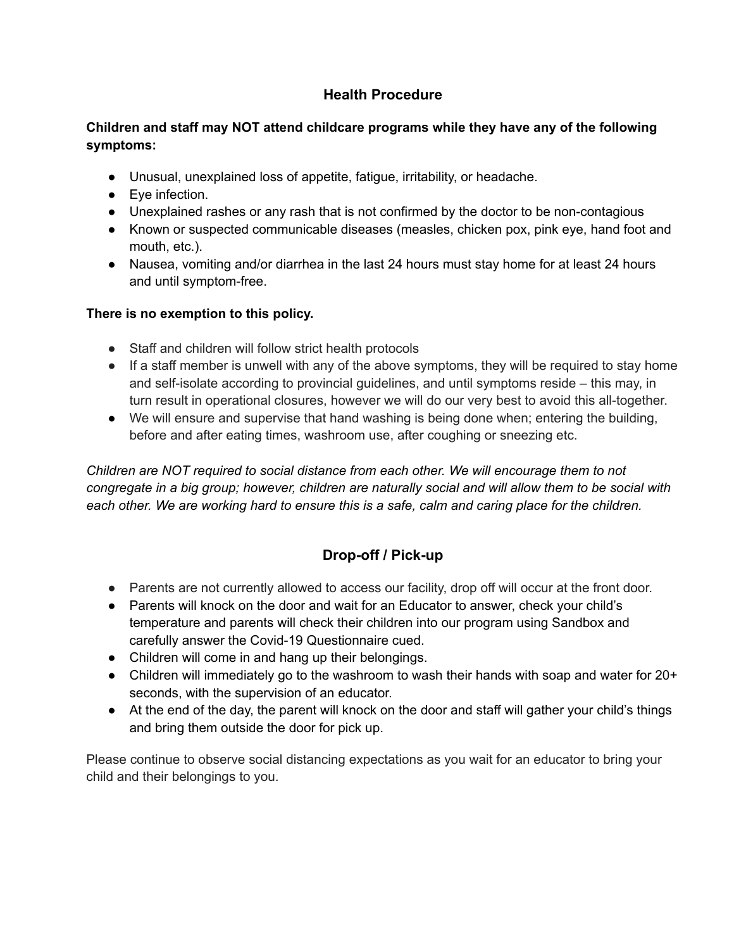## **Health Procedure**

#### **Children and staff may NOT attend childcare programs while they have any of the following symptoms:**

- Unusual, unexplained loss of appetite, fatigue, irritability, or headache.
- Eye infection.
- Unexplained rashes or any rash that is not confirmed by the doctor to be non-contagious
- Known or suspected communicable diseases (measles, chicken pox, pink eye, hand foot and mouth, etc.).
- Nausea, vomiting and/or diarrhea in the last 24 hours must stay home for at least 24 hours and until symptom-free.

#### **There is no exemption to this policy.**

- Staff and children will follow strict health protocols
- If a staff member is unwell with any of the above symptoms, they will be required to stay home and self-isolate according to provincial guidelines, and until symptoms reside – this may, in turn result in operational closures, however we will do our very best to avoid this all-together.
- We will ensure and supervise that hand washing is being done when; entering the building, before and after eating times, washroom use, after coughing or sneezing etc.

*Children are NOT required to social distance from each other. We will encourage them to not* congregate in a big group; however, children are naturally social and will allow them to be social with each other. We are working hard to ensure this is a safe, calm and caring place for the children.

## **Drop-off / Pick-up**

- Parents are not currently allowed to access our facility, drop off will occur at the front door.
- Parents will knock on the door and wait for an Educator to answer, check your child's temperature and parents will check their children into our program using Sandbox and carefully answer the Covid-19 Questionnaire cued.
- Children will come in and hang up their belongings.
- Children will immediately go to the washroom to wash their hands with soap and water for 20+ seconds, with the supervision of an educator.
- At the end of the day, the parent will knock on the door and staff will gather your child's things and bring them outside the door for pick up.

Please continue to observe social distancing expectations as you wait for an educator to bring your child and their belongings to you.